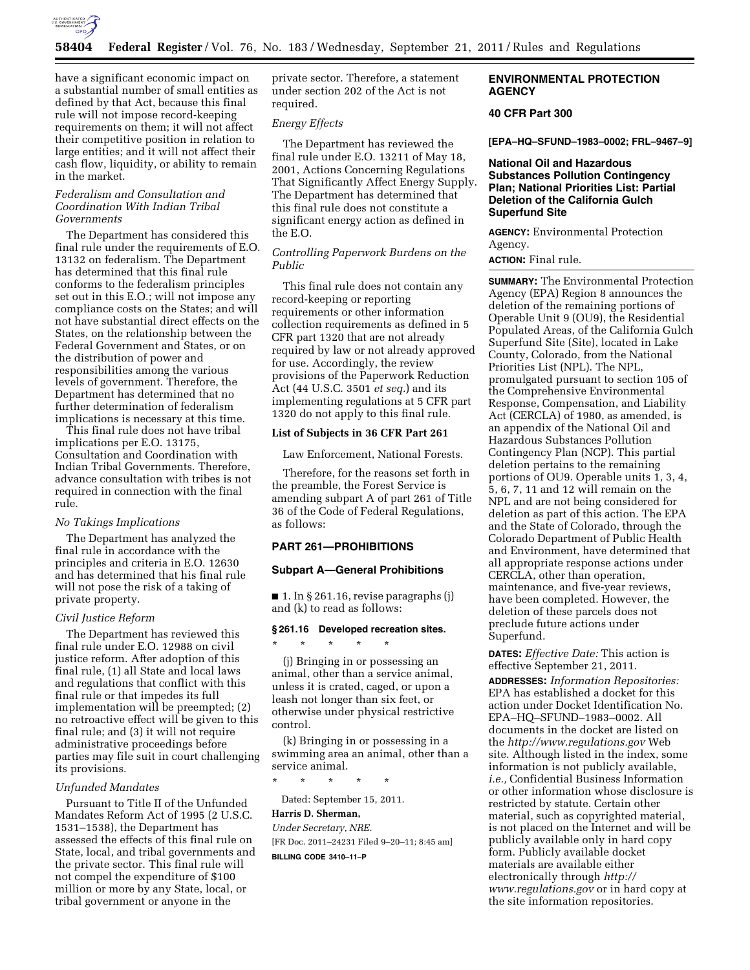

have a significant economic impact on a substantial number of small entities as defined by that Act, because this final rule will not impose record-keeping requirements on them; it will not affect their competitive position in relation to large entities; and it will not affect their cash flow, liquidity, or ability to remain in the market.

# *Federalism and Consultation and Coordination With Indian Tribal Governments*

The Department has considered this final rule under the requirements of E.O. 13132 on federalism. The Department has determined that this final rule conforms to the federalism principles set out in this E.O.; will not impose any compliance costs on the States; and will not have substantial direct effects on the States, on the relationship between the Federal Government and States, or on the distribution of power and responsibilities among the various levels of government. Therefore, the Department has determined that no further determination of federalism implications is necessary at this time.

This final rule does not have tribal implications per E.O. 13175, Consultation and Coordination with Indian Tribal Governments. Therefore, advance consultation with tribes is not required in connection with the final rule.

## *No Takings Implications*

The Department has analyzed the final rule in accordance with the principles and criteria in E.O. 12630 and has determined that his final rule will not pose the risk of a taking of private property.

#### *Civil Justice Reform*

The Department has reviewed this final rule under E.O. 12988 on civil justice reform. After adoption of this final rule, (1) all State and local laws and regulations that conflict with this final rule or that impedes its full implementation will be preempted; (2) no retroactive effect will be given to this final rule; and (3) it will not require administrative proceedings before parties may file suit in court challenging its provisions.

#### *Unfunded Mandates*

Pursuant to Title II of the Unfunded Mandates Reform Act of 1995 (2 U.S.C. 1531–1538), the Department has assessed the effects of this final rule on State, local, and tribal governments and the private sector. This final rule will not compel the expenditure of \$100 million or more by any State, local, or tribal government or anyone in the

private sector. Therefore, a statement under section 202 of the Act is not required.

## *Energy Effects*

The Department has reviewed the final rule under E.O. 13211 of May 18, 2001, Actions Concerning Regulations That Significantly Affect Energy Supply. The Department has determined that this final rule does not constitute a significant energy action as defined in the E.O.

# *Controlling Paperwork Burdens on the Public*

This final rule does not contain any record-keeping or reporting requirements or other information collection requirements as defined in 5 CFR part 1320 that are not already required by law or not already approved for use. Accordingly, the review provisions of the Paperwork Reduction Act (44 U.S.C. 3501 *et seq.*) and its implementing regulations at 5 CFR part 1320 do not apply to this final rule.

### **List of Subjects in 36 CFR Part 261**

Law Enforcement, National Forests.

Therefore, for the reasons set forth in the preamble, the Forest Service is amending subpart A of part 261 of Title 36 of the Code of Federal Regulations, as follows:

# **PART 261—PROHIBITIONS**

## **Subpart A—General Prohibitions**

■ 1. In § 261.16, revise paragraphs (j) and (k) to read as follows:

#### **§ 261.16 Developed recreation sites.**

\* \* \* \* \*

(j) Bringing in or possessing an animal, other than a service animal, unless it is crated, caged, or upon a leash not longer than six feet, or otherwise under physical restrictive control.

(k) Bringing in or possessing in a swimming area an animal, other than a service animal.

\* \* \* \* \*

Dated: September 15, 2011.

## **Harris D. Sherman,**

*Under Secretary, NRE.*  [FR Doc. 2011–24231 Filed 9–20–11; 8:45 am] **BILLING CODE 3410–11–P** 

# **ENVIRONMENTAL PROTECTION AGENCY**

# **40 CFR Part 300**

**[EPA–HQ–SFUND–1983–0002; FRL–9467–9]** 

## **National Oil and Hazardous Substances Pollution Contingency Plan; National Priorities List: Partial Deletion of the California Gulch Superfund Site**

**AGENCY:** Environmental Protection Agency.

**ACTION:** Final rule.

**SUMMARY:** The Environmental Protection Agency (EPA) Region 8 announces the deletion of the remaining portions of Operable Unit 9 (OU9), the Residential Populated Areas, of the California Gulch Superfund Site (Site), located in Lake County, Colorado, from the National Priorities List (NPL). The NPL, promulgated pursuant to section 105 of the Comprehensive Environmental Response, Compensation, and Liability Act (CERCLA) of 1980, as amended, is an appendix of the National Oil and Hazardous Substances Pollution Contingency Plan (NCP). This partial deletion pertains to the remaining portions of OU9. Operable units 1, 3, 4, 5, 6, 7, 11 and 12 will remain on the NPL and are not being considered for deletion as part of this action. The EPA and the State of Colorado, through the Colorado Department of Public Health and Environment, have determined that all appropriate response actions under CERCLA, other than operation, maintenance, and five-year reviews, have been completed. However, the deletion of these parcels does not preclude future actions under Superfund.

## **DATES:** *Effective Date:* This action is effective September 21, 2011.

**ADDRESSES:** *Information Repositories:*  EPA has established a docket for this action under Docket Identification No. EPA–HQ–SFUND–1983–0002. All documents in the docket are listed on the *<http://www.regulations.gov>*Web site. Although listed in the index, some information is not publicly available, *i.e.,* Confidential Business Information or other information whose disclosure is restricted by statute. Certain other material, such as copyrighted material, is not placed on the Internet and will be publicly available only in hard copy form. Publicly available docket materials are available either electronically through *[http://](http://www.regulations.gov) [www.regulations.gov](http://www.regulations.gov)* or in hard copy at the site information repositories.